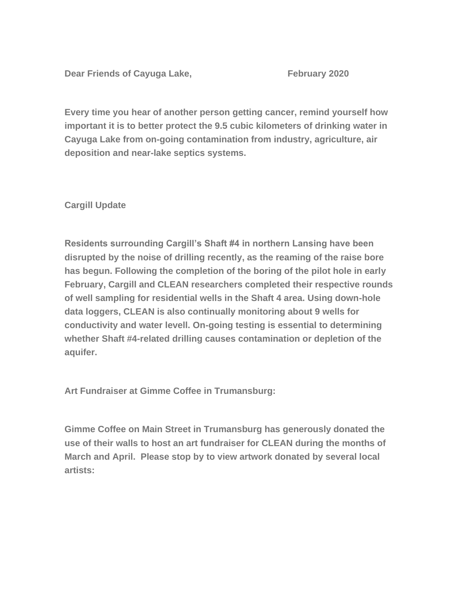**Dear Friends of Cayuga Lake, The Cay Contrary 2020** 

**Every time you hear of another person getting cancer, remind yourself how important it is to better protect the 9.5 cubic kilometers of drinking water in Cayuga Lake from on-going contamination from industry, agriculture, air deposition and near-lake septics systems.**

**Cargill Update**

**Residents surrounding Cargill's Shaft #4 in northern Lansing have been disrupted by the noise of drilling recently, as the reaming of the raise bore has begun. Following the completion of the boring of the pilot hole in early February, Cargill and CLEAN researchers completed their respective rounds of well sampling for residential wells in the Shaft 4 area. Using down-hole data loggers, CLEAN is also continually monitoring about 9 wells for conductivity and water levell. On-going testing is essential to determining whether Shaft #4-related drilling causes contamination or depletion of the aquifer.**

**Art Fundraiser at Gimme Coffee in Trumansburg:**

**Gimme Coffee on Main Street in Trumansburg has generously donated the use of their walls to host an art fundraiser for CLEAN during the months of March and April. Please stop by to view artwork donated by several local artists:**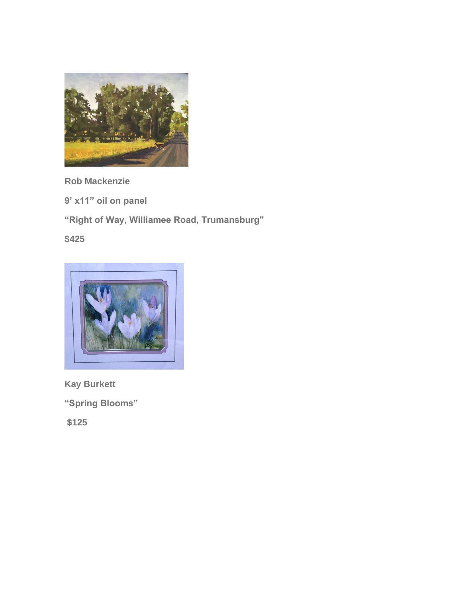

**Rob Mackenzie**

**9' x11" oil on panel**

**"Right of Way, Williamee Road, Trumansburg"**

**\$425**



**Kay Burkett**

**"Spring Blooms"**

**\$125**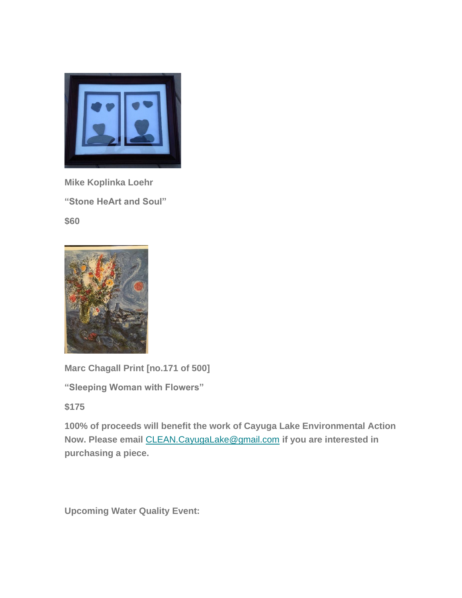

**Mike Koplinka Loehr "Stone HeArt and Soul" \$60**



**Marc Chagall Print [no.171 of 500]**

**"Sleeping Woman with Flowers"**

**\$175**

**100% of proceeds will benefit the work of Cayuga Lake Environmental Action Now. Please email** [CLEAN.CayugaLake@gmail.com](mailto:CLEAN.CayugaLake@gmail.com) **if you are interested in purchasing a piece.**

**Upcoming Water Quality Event:**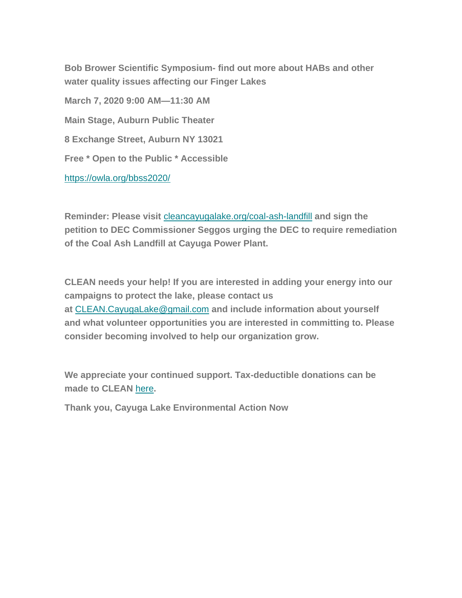**Bob Brower Scientific Symposium- find out more about HABs and other water quality issues affecting our Finger Lakes**

**March 7, 2020 9:00 AM—11:30 AM Main Stage, Auburn Public Theater 8 Exchange Street, Auburn NY 13021 Free \* Open to the Public \* Accessible** <https://owla.org/bbss2020/>

**Reminder: Please visit** [cleancayugalake.org/coal-ash-landfill](https://cleancayugalake.org/coal-ash-landfill/) **and sign the petition to DEC Commissioner Seggos urging the DEC to require remediation of the Coal Ash Landfill at Cayuga Power Plant.**

**CLEAN needs your help! If you are interested in adding your energy into our campaigns to protect the lake, please contact us at** [CLEAN.CayugaLake@gmail.com](mailto:CLEAN.CayugaLake@gmail.com) **and include information about yourself and what volunteer opportunities you are interested in committing to. Please consider becoming involved to help our organization grow.**

**We appreciate your continued support. Tax-deductible donations can be made to CLEAN** [here](http://cleancayugalake.org/donations/)**.**

**Thank you, Cayuga Lake Environmental Action Now**